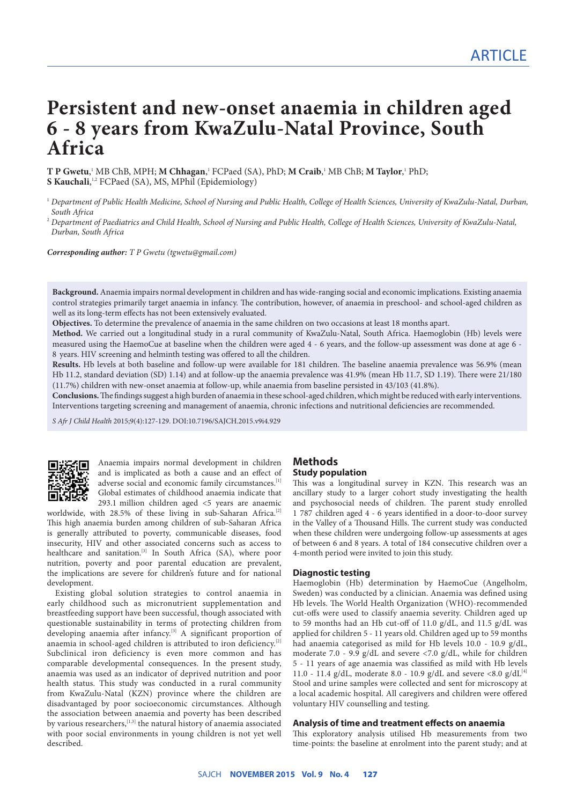# **Persistent and new-onset anaemia in children aged 6 - 8 years from KwaZulu-Natal Province, South Africa**

**T P Gwetu,'** MB ChB, MPH; **M Chhagan**,' FCPaed (SA), PhD; **M Craib**,' MB ChB; **M Taylor**,' PhD; **S Kauchali**, 1,2 FCPaed (SA), MS, MPhil (Epidemiology)

<sup>1</sup> *Department of Public Health Medicine, School of Nursing and Public Health, College of Health Sciences, University of KwaZulu-Natal, Durban, South Africa*

<sup>2</sup> *Department of Paediatrics and Child Health, School of Nursing and Public Health, College of Health Sciences, University of KwaZulu-Natal, Durban, South Africa*

*Corresponding author: T P Gwetu (tgwetu@gmail.com)*

**Background.** Anaemia impairs normal development in children and has wide-ranging social and economic implications. Existing anaemia control strategies primarily target anaemia in infancy. The contribution, however, of anaemia in preschool- and school-aged children as well as its long-term effects has not been extensively evaluated.

**Objectives.** To determine the prevalence of anaemia in the same children on two occasions at least 18 months apart.

**Method.** We carried out a longitudinal study in a rural community of KwaZulu-Natal, South Africa. Haemoglobin (Hb) levels were measured using the HaemoCue at baseline when the children were aged 4 - 6 years, and the follow-up assessment was done at age 6 - 8 years. HIV screening and helminth testing was offered to all the children.

**Results.** Hb levels at both baseline and follow-up were available for 181 children. The baseline anaemia prevalence was 56.9% (mean Hb 11.2, standard deviation (SD) 1.14) and at follow-up the anaemia prevalence was 41.9% (mean Hb 11.7, SD 1.19). There were 21/180 (11.7%) children with new-onset anaemia at follow-up, while anaemia from baseline persisted in 43/103 (41.8%).

**Conclusions.** The findings suggest a high burden of anaemia in these school-aged children, which might be reduced with early interventions. Interventions targeting screening and management of anaemia, chronic infections and nutritional deficiencies are recommended.

*S Afr J Child Health* 2015;9(4):127-129. DOI:10.7196/SAJCH.2015.v9i4.929



Anaemia impairs normal development in children and is implicated as both a cause and an effect of adverse social and economic family circumstances.<sup>[1]</sup> Global estimates of childhood anaemia indicate that 293.1 million children aged <5 years are anaemic

worldwide, with 28.5% of these living in sub-Saharan Africa.<sup>[2]</sup> This high anaemia burden among children of sub-Saharan Africa is generally attributed to poverty, communicable diseases, food insecurity, HIV and other associated concerns such as access to healthcare and sanitation.<sup>[3]</sup> In South Africa (SA), where poor nutrition, poverty and poor parental education are prevalent, the implications are severe for children's future and for national development.

Existing global solution strategies to control anaemia in early childhood such as micronutrient supplementation and breastfeeding support have been successful, though associated with questionable sustainability in terms of protecting children from developing anaemia after infancy.<sup>[3]</sup> A significant proportion of anaemia in school-aged children is attributed to iron deficiency.<sup>[2]</sup> Subclinical iron deficiency is even more common and has comparable developmental consequences. In the present study, anaemia was used as an indicator of deprived nutrition and poor health status. This study was conducted in a rural community from KwaZulu-Natal (KZN) province where the children are disadvantaged by poor socioeconomic circumstances. Although the association between anaemia and poverty has been described by various researchers, $[1,3]$  the natural history of anaemia associated with poor social environments in young children is not yet well described.

# **Methods**

## **Study population**

This was a longitudinal survey in KZN. This research was an ancillary study to a larger cohort study investigating the health and psychosocial needs of children. The parent study enrolled 1 787 children aged 4 - 6 years identified in a door-to-door survey in the Valley of a Thousand Hills. The current study was conducted when these children were undergoing follow-up assessments at ages of between 6 and 8 years. A total of 184 consecutive children over a 4-month period were invited to join this study.

#### **Diagnostic testing**

Haemoglobin (Hb) determination by HaemoCue (Angelholm, Sweden) was conducted by a clinician. Anaemia was defined using Hb levels. The World Health Organization (WHO)-recommended cut-offs were used to classify anaemia severity. Children aged up to 59 months had an Hb cut-off of 11.0 g/dL, and 11.5 g/dL was applied for children 5 - 11 years old. Children aged up to 59 months had anaemia categorised as mild for Hb levels 10.0 - 10.9 g/dL, moderate 7.0 - 9.9 g/dL and severe <7.0 g/dL, while for children 5 - 11 years of age anaemia was classified as mild with Hb levels 11.0 - 11.4 g/dL, moderate 8.0 - 10.9 g/dL and severe <8.0 g/dL $^{[4]}$ Stool and urine samples were collected and sent for microscopy at a local academic hospital. All caregivers and children were offered voluntary HIV counselling and testing.

#### **Analysis of time and treatment effects on anaemia**

This exploratory analysis utilised Hb measurements from two time-points: the baseline at enrolment into the parent study; and at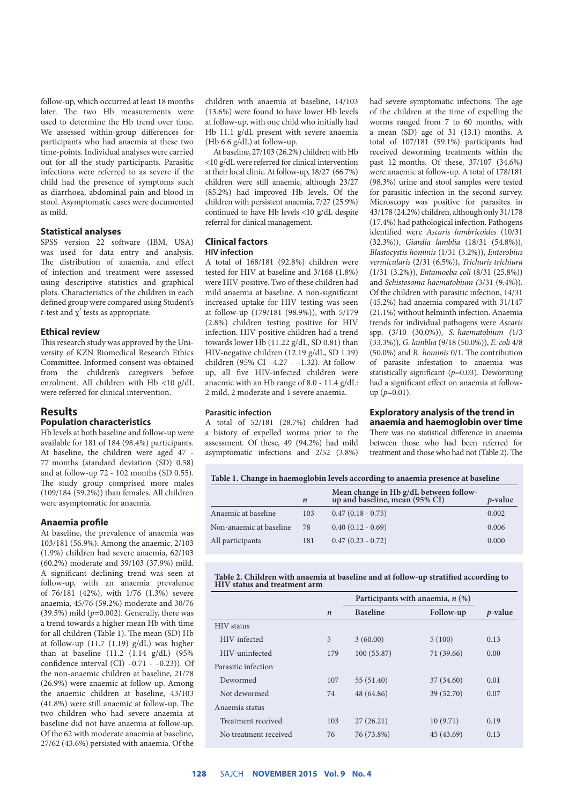follow-up, which occurred at least 18 months later. The two Hb measurements were used to determine the Hb trend over time. We assessed within-group differences for participants who had anaemia at these two time-points. Individual analyses were carried out for all the study participants. Parasitic infections were referred to as severe if the child had the presence of symptoms such as diarrhoea, abdominal pain and blood in stool. Asymptomatic cases were documented as mild.

### **Statistical analyses**

SPSS version 22 software (IBM, USA) was used for data entry and analysis. The distribution of anaemia, and effect of infection and treatment were assessed using descriptive statistics and graphical plots. Characteristics of the children in each defined group were compared using Student's *t*-test and  $\chi^2$  tests as appropriate.

#### **Ethical review**

This research study was approved by the University of KZN Biomedical Research Ethics Committee. Informed consent was obtained from the children's caregivers before enrolment. All children with Hb <10 g/dL were referred for clinical intervention.

## **Results**

## **Population characteristics**

Hb levels at both baseline and follow-up were available for 181 of 184 (98.4%) participants. At baseline, the children were aged 47 - 77 months (standard deviation (SD) 0.58) and at follow-up 72 - 102 months (SD 0.55). The study group comprised more males (109/184 (59.2%)) than females. All children were asymptomatic for anaemia.

#### **Anaemia profile**

At baseline, the prevalence of anaemia was 103/181 (56.9%). Among the anaemic, 2/103 (1.9%) children had severe anaemia, 62/103 (60.2%) moderate and 39/103 (37.9%) mild. A significant declining trend was seen at follow-up, with an anaemia prevalence of 76/181 (42%), with 1/76 (1.3%) severe anaemia, 45/76 (59.2%) moderate and 30/76 (39.5%) mild  $(p=0.002)$ . Generally, there was a trend towards a higher mean Hb with time for all children (Table 1). The mean (SD) Hb at follow-up (11.7 (1.19) g/dL) was higher than at baseline  $(11.2 \t(1.14 \t g/dL) \t(95%)$ confidence interval  $(Cl)$  –0.71 - –0.23)). Of the non-anaemic children at baseline, 21/78 (26.9%) were anaemic at follow-up. Among the anaemic children at baseline, 43/103 (41.8%) were still anaemic at follow-up. The two children who had severe anaemia at baseline did not have anaemia at follow-up. Of the 62 with moderate anaemia at baseline, 27/62 (43.6%) persisted with anaemia. Of the

children with anaemia at baseline, 14/103 (13.6%) were found to have lower Hb levels at follow-up, with one child who initially had Hb 11.1 g/dL present with severe anaemia (Hb 6.6 g/dL) at follow-up.

At baseline, 27/103 (26.2%) children with Hb <10 g/dL were referred for clinical intervention at their local clinic. At follow-up, 18/27 (66.7%) children were still anaemic, although 23/27 (85.2%) had improved Hb levels. Of the children with persistent anaemia, 7/27 (25.9%) continued to have Hb levels <10 g/dL despite referral for clinical management.

#### **Clinical factors HIV infection**

A total of 168/181 (92.8%) children were tested for HIV at baseline and 3/168 (1.8%) were HIV-positive. Two of these children had mild anaemia at baseline. A non-significant increased uptake for HIV testing was seen at follow-up (179/181 (98.9%)), with 5/179 (2.8%) children testing positive for HIV infection. HIV-positive children had a trend towards lower Hb (11.22 g/dL, SD 0.81) than HIV-negative children (12.19 g/dL, SD 1.19) children (95% CI –4.27 - –1.32). At followup, all five HIV-infected children were anaemic with an Hb range of 8.0 - 11.4 g/dL: 2 mild, 2 moderate and 1 severe anaemia.

#### **Parasitic infection**

A total of 52/181 (28.7%) children had a history of expelled worms prior to the assessment. Of these, 49 (94.2%) had mild asymptomatic infections and 2/52 (3.8%)

had severe symptomatic infections. The age of the children at the time of expelling the worms ranged from 7 to 60 months, with a mean (SD) age of 31 (13.1) months. A total of 107/181 (59.1%) participants had received deworming treatments within the past 12 months. Of these, 37/107 (34.6%) were anaemic at follow-up. A total of 178/181 (98.3%) urine and stool samples were tested for parasitic infection in the second survey. Microscopy was positive for parasites in 43/178 (24.2%) children, although only 31/178 (17.4%) had pathological infection. Pathogens identified were *Ascaris lumbricoides* (10/31 (32.3%)), *Giardia lamblia* (18/31 (54.8%)), *Blastocystis hominis* (1/31 (3.2%)), *Enterobius vermicularis* (2/31 (6.5%)), *Trichuris trichiura* (1/31 (3.2%)), *Entamoeba coli* (8/31 (25.8%)) and *Schistosoma haematobium (*3/31 (9.4%)). Of the children with parasitic infection, 14/31 (45.2%) had anaemia compared with 31/147 (21.1%) without helminth infection. Anaemia trends for individual pathogens were *Ascaris* spp. (3/10 (30.0%)), *S. haematobium (*1/3 (33.3%)), *G. lamblia* (9/18 (50.0%)), *E. coli* 4/8 (50.0%) and *B. hominis* 0/1. The contribution of parasite infestation to anaemia was statistically significant (*p*=0.03). Deworming had a significant effect on anaemia at followup (*p*=0.01).

# **Exploratory analysis of the trend in**

**anaemia and haemoglobin over time** There was no statistical difference in anaemia between those who had been referred for treatment and those who had not (Table 2). The

#### **Table 1. Change in haemoglobin levels according to anaemia presence at baseline**

|                         | $\boldsymbol{n}$ | Mean change in Hb g/dL between follow-<br>up and baseline, mean (95% CI) | <i>p</i> -value |
|-------------------------|------------------|--------------------------------------------------------------------------|-----------------|
| Anaemic at baseline     | 103              | $0.47(0.18 - 0.75)$                                                      | 0.002           |
| Non-anaemic at baseline | 78               | $0.40(0.12 - 0.69)$                                                      | 0.006           |
| All participants        | 181              | $0.47(0.23 - 0.72)$                                                      | 0.000           |

#### **Table 2. Children with anaemia at baseline and at follow-up stratified according to HIV status and treatment arm**

|                       |                  | Participants with anaemia, $n$ (%) |            |                 |
|-----------------------|------------------|------------------------------------|------------|-----------------|
|                       | $\boldsymbol{n}$ | <b>Baseline</b>                    | Follow-up  | <i>p</i> -value |
| <b>HIV</b> status     |                  |                                    |            |                 |
| HIV-infected          | 5                | 3(60.00)                           | 5(100)     | 0.13            |
| HIV-uninfected        | 179              | 100(55.87)                         | 71 (39.66) | 0.00            |
| Parasitic infection   |                  |                                    |            |                 |
| Dewormed              | 107              | 55 (51.40)                         | 37 (34.60) | 0.01            |
| Not dewormed          | 74               | 48 (64.86)                         | 39 (52.70) | 0.07            |
| Anaemia status        |                  |                                    |            |                 |
| Treatment received    | 103              | 27(26.21)                          | 10(9.71)   | 0.19            |
| No treatment received | 76               | 76 (73.8%)                         | 45 (43.69) | 0.13            |